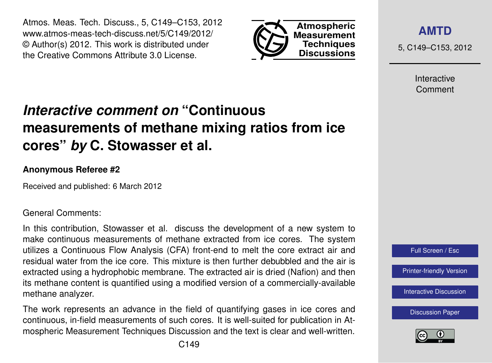Atmos. Meas. Tech. Discuss., 5, C149–C153, 2012 www.atmos-meas-tech-discuss.net/5/C149/2012/ © Author(s) 2012. This work is distributed under the Creative Commons Attribute 3.0 License.



**[AMTD](http://www.atmos-meas-tech-discuss.net)**

5, C149–C153, 2012

Interactive Comment

## *Interactive comment on* **"Continuous measurements of methane mixing ratios from ice cores"** *by* **C. Stowasser et al.**

## **Anonymous Referee #2**

Received and published: 6 March 2012

General Comments:

In this contribution, Stowasser et al. discuss the development of a new system to make continuous measurements of methane extracted from ice cores. The system utilizes a Continuous Flow Analysis (CFA) front-end to melt the core extract air and residual water from the ice core. This mixture is then further debubbled and the air is extracted using a hydrophobic membrane. The extracted air is dried (Nafion) and then its methane content is quantified using a modified version of a commercially-available methane analyzer.

The work represents an advance in the field of quantifying gases in ice cores and continuous, in-field measurements of such cores. It is well-suited for publication in Atmospheric Measurement Techniques Discussion and the text is clear and well-written.



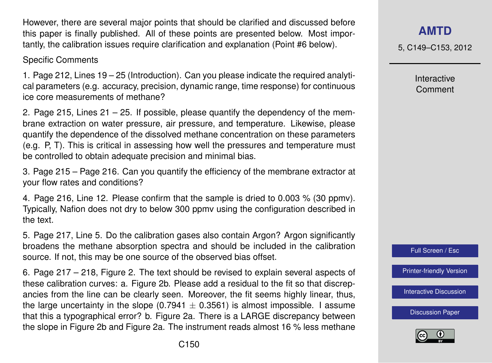However, there are several major points that should be clarified and discussed before this paper is finally published. All of these points are presented below. Most importantly, the calibration issues require clarification and explanation (Point #6 below).

## Specific Comments

1. Page 212, Lines 19 – 25 (Introduction). Can you please indicate the required analytical parameters (e.g. accuracy, precision, dynamic range, time response) for continuous ice core measurements of methane?

2. Page 215, Lines 21 – 25. If possible, please quantify the dependency of the membrane extraction on water pressure, air pressure, and temperature. Likewise, please quantify the dependence of the dissolved methane concentration on these parameters (e.g. P, T). This is critical in assessing how well the pressures and temperature must be controlled to obtain adequate precision and minimal bias.

3. Page 215 – Page 216. Can you quantify the efficiency of the membrane extractor at your flow rates and conditions?

4. Page 216, Line 12. Please confirm that the sample is dried to 0.003 % (30 ppmv). Typically, Nafion does not dry to below 300 ppmv using the configuration described in the text.

5. Page 217, Line 5. Do the calibration gases also contain Argon? Argon significantly broadens the methane absorption spectra and should be included in the calibration source. If not, this may be one source of the observed bias offset.

6. Page 217 – 218, Figure 2. The text should be revised to explain several aspects of these calibration curves: a. Figure 2b. Please add a residual to the fit so that discrepancies from the line can be clearly seen. Moreover, the fit seems highly linear, thus, the large uncertainty in the slope (0.7941  $\pm$  0.3561) is almost impossible. I assume that this a typographical error? b. Figure 2a. There is a LARGE discrepancy between the slope in Figure 2b and Figure 2a. The instrument reads almost 16 % less methane 5, C149–C153, 2012

Interactive Comment



[Printer-friendly Version](http://www.atmos-meas-tech-discuss.net/5/C149/2012/amtd-5-C149-2012-print.pdf)

[Interactive Discussion](http://www.atmos-meas-tech-discuss.net/5/211/2012/amtd-5-211-2012-discussion.html)

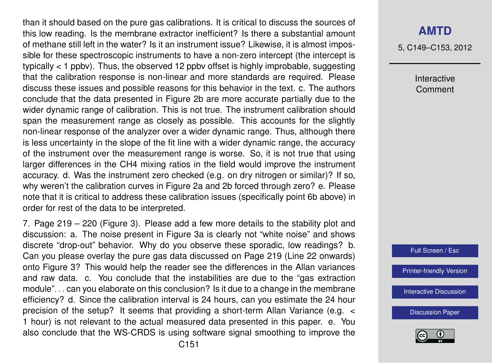than it should based on the pure gas calibrations. It is critical to discuss the sources of this low reading. Is the membrane extractor inefficient? Is there a substantial amount of methane still left in the water? Is it an instrument issue? Likewise, it is almost impossible for these spectroscopic instruments to have a non-zero intercept (the intercept is typically < 1 ppbv). Thus, the observed 12 ppbv offset is highly improbable, suggesting that the calibration response is non-linear and more standards are required. Please discuss these issues and possible reasons for this behavior in the text. c. The authors conclude that the data presented in Figure 2b are more accurate partially due to the wider dynamic range of calibration. This is not true. The instrument calibration should span the measurement range as closely as possible. This accounts for the slightly non-linear response of the analyzer over a wider dynamic range. Thus, although there is less uncertainty in the slope of the fit line with a wider dynamic range, the accuracy of the instrument over the measurement range is worse. So, it is not true that using larger differences in the CH4 mixing ratios in the field would improve the instrument accuracy. d. Was the instrument zero checked (e.g. on dry nitrogen or similar)? If so, why weren't the calibration curves in Figure 2a and 2b forced through zero? e. Please note that it is critical to address these calibration issues (specifically point 6b above) in order for rest of the data to be interpreted.

7. Page 219 – 220 (Figure 3). Please add a few more details to the stability plot and discussion: a. The noise present in Figure 3a is clearly not "white noise" and shows discrete "drop-out" behavior. Why do you observe these sporadic, low readings? b. Can you please overlay the pure gas data discussed on Page 219 (Line 22 onwards) onto Figure 3? This would help the reader see the differences in the Allan variances and raw data. c. You conclude that the instabilities are due to the "gas extraction module". . . can you elaborate on this conclusion? Is it due to a change in the membrane efficiency? d. Since the calibration interval is 24 hours, can you estimate the 24 hour precision of the setup? It seems that providing a short-term Allan Variance (e.g. < 1 hour) is not relevant to the actual measured data presented in this paper. e. You also conclude that the WS-CRDS is using software signal smoothing to improve the

5, C149–C153, 2012

Interactive Comment



[Printer-friendly Version](http://www.atmos-meas-tech-discuss.net/5/C149/2012/amtd-5-C149-2012-print.pdf)

[Interactive Discussion](http://www.atmos-meas-tech-discuss.net/5/211/2012/amtd-5-211-2012-discussion.html)

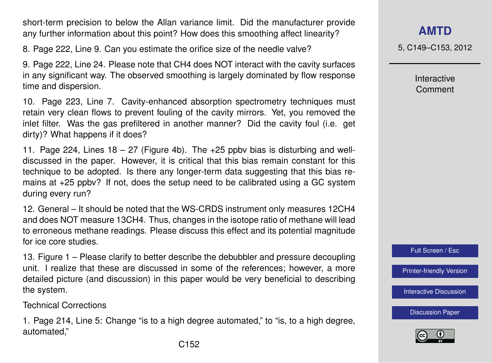short-term precision to below the Allan variance limit. Did the manufacturer provide any further information about this point? How does this smoothing affect linearity?

8. Page 222, Line 9. Can you estimate the orifice size of the needle valve?

9. Page 222, Line 24. Please note that CH4 does NOT interact with the cavity surfaces in any significant way. The observed smoothing is largely dominated by flow response time and dispersion.

10. Page 223, Line 7. Cavity-enhanced absorption spectrometry techniques must retain very clean flows to prevent fouling of the cavity mirrors. Yet, you removed the inlet filter. Was the gas prefiltered in another manner? Did the cavity foul (i.e. get dirty)? What happens if it does?

11. Page 224, Lines  $18 - 27$  (Figure 4b). The  $+25$  ppby bias is disturbing and welldiscussed in the paper. However, it is critical that this bias remain constant for this technique to be adopted. Is there any longer-term data suggesting that this bias remains at +25 ppbv? If not, does the setup need to be calibrated using a GC system during every run?

12. General – It should be noted that the WS-CRDS instrument only measures 12CH4 and does NOT measure 13CH4. Thus, changes in the isotope ratio of methane will lead to erroneous methane readings. Please discuss this effect and its potential magnitude for ice core studies.

13. Figure 1 – Please clarify to better describe the debubbler and pressure decoupling unit. I realize that these are discussed in some of the references; however, a more detailed picture (and discussion) in this paper would be very beneficial to describing the system.

Technical Corrections

1. Page 214, Line 5: Change "is to a high degree automated," to "is, to a high degree, automated,"

**[AMTD](http://www.atmos-meas-tech-discuss.net)**

5, C149–C153, 2012

Interactive Comment



[Printer-friendly Version](http://www.atmos-meas-tech-discuss.net/5/C149/2012/amtd-5-C149-2012-print.pdf)

[Interactive Discussion](http://www.atmos-meas-tech-discuss.net/5/211/2012/amtd-5-211-2012-discussion.html)